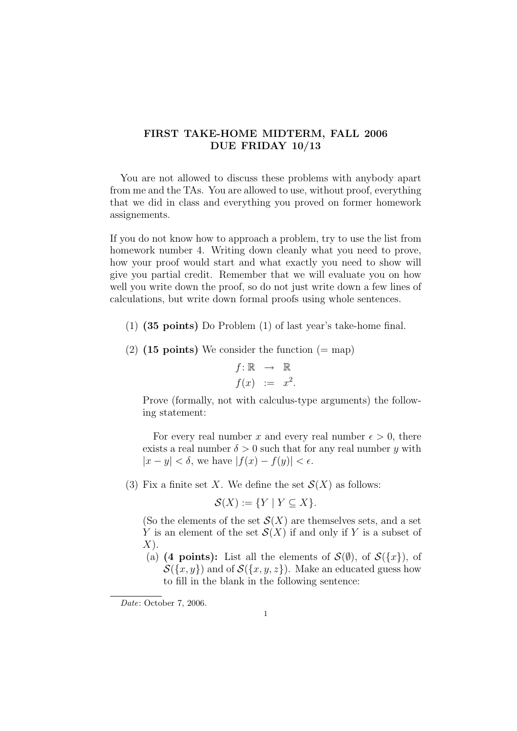## FIRST TAKE-HOME MIDTERM, FALL 2006 DUE FRIDAY 10/13

You are not allowed to discuss these problems with anybody apart from me and the TAs. You are allowed to use, without proof, everything that we did in class and everything you proved on former homework assignements.

If you do not know how to approach a problem, try to use the list from homework number 4. Writing down cleanly what you need to prove, how your proof would start and what exactly you need to show will give you partial credit. Remember that we will evaluate you on how well you write down the proof, so do not just write down a few lines of calculations, but write down formal proofs using whole sentences.

- (1) (35 points) Do Problem (1) of last year's take-home final.
- (2) (15 points) We consider the function  $(=$  map)

$$
f: \mathbb{R} \rightarrow \mathbb{R}
$$
  

$$
f(x) := x^2.
$$

Prove (formally, not with calculus-type arguments) the following statement:

For every real number x and every real number  $\epsilon > 0$ , there exists a real number  $\delta > 0$  such that for any real number y with  $|x - y| < \delta$ , we have  $|f(x) - f(y)| < \epsilon$ .

(3) Fix a finite set X. We define the set  $\mathcal{S}(X)$  as follows:

$$
\mathcal{S}(X) := \{ Y \mid Y \subseteq X \}.
$$

(So the elements of the set  $\mathcal{S}(X)$  are themselves sets, and a set Y is an element of the set  $\mathcal{S}(X)$  if and only if Y is a subset of  $X$ ).

(a) (4 points): List all the elements of  $\mathcal{S}(\emptyset)$ , of  $\mathcal{S}(\lbrace x \rbrace)$ , of  $S({x, y})$  and of  $S({x, y, z})$ . Make an educated guess how to fill in the blank in the following sentence:

Date: October 7, 2006.